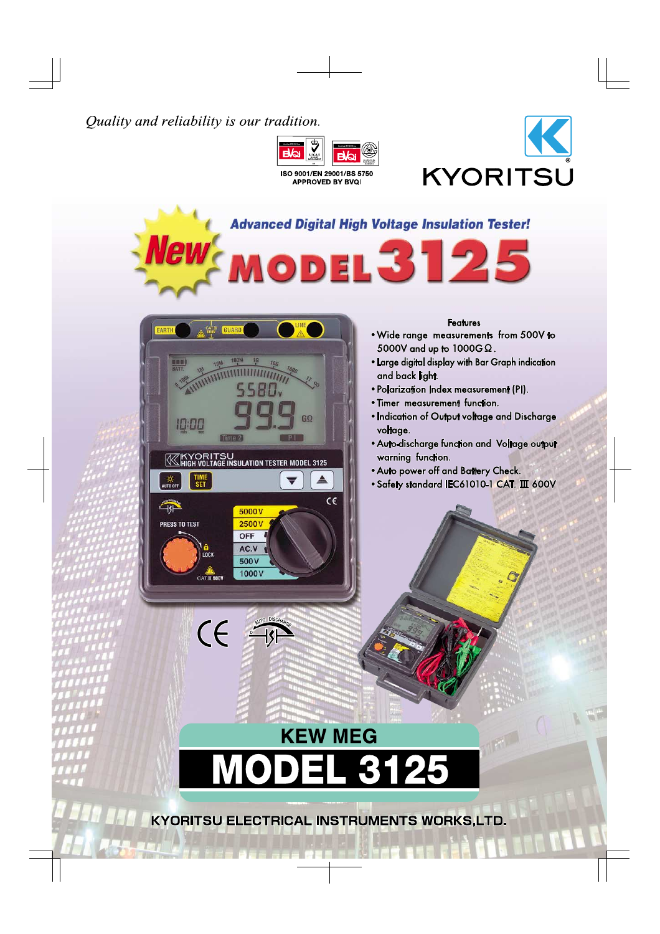# Quality and reliability is our tradition.



ISO 9001/EN 29001/BS 5750 **APPROVED BY BVQI** 







KYORITSU ELECTRICAL INSTRUMENTS WORKS,LTD.